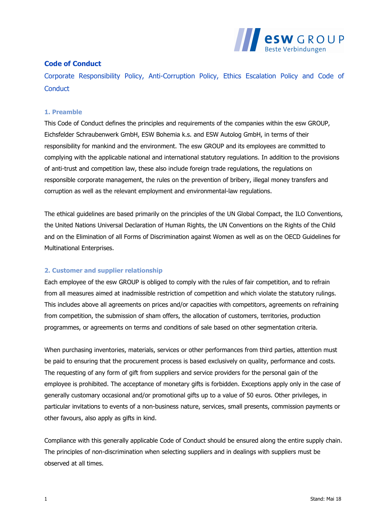

# Code of Conduct

Corporate Responsibility Policy, Anti-Corruption Policy, Ethics Escalation Policy and Code of **Conduct** 

#### 1. Preamble

This Code of Conduct defines the principles and requirements of the companies within the esw GROUP, Eichsfelder Schraubenwerk GmbH, ESW Bohemia k.s. and ESW Autolog GmbH, in terms of their responsibility for mankind and the environment. The esw GROUP and its employees are committed to complying with the applicable national and international statutory regulations. In addition to the provisions of anti-trust and competition law, these also include foreign trade regulations, the regulations on responsible corporate management, the rules on the prevention of bribery, illegal money transfers and corruption as well as the relevant employment and environmental-law regulations.

The ethical guidelines are based primarily on the principles of the UN Global Compact, the ILO Conventions, the United Nations Universal Declaration of Human Rights, the UN Conventions on the Rights of the Child and on the Elimination of all Forms of Discrimination against Women as well as on the OECD Guidelines for Multinational Enterprises.

## 2. Customer and supplier relationship

Each employee of the esw GROUP is obliged to comply with the rules of fair competition, and to refrain from all measures aimed at inadmissible restriction of competition and which violate the statutory rulings. This includes above all agreements on prices and/or capacities with competitors, agreements on refraining from competition, the submission of sham offers, the allocation of customers, territories, production programmes, or agreements on terms and conditions of sale based on other segmentation criteria.

When purchasing inventories, materials, services or other performances from third parties, attention must be paid to ensuring that the procurement process is based exclusively on quality, performance and costs. The requesting of any form of gift from suppliers and service providers for the personal gain of the employee is prohibited. The acceptance of monetary gifts is forbidden. Exceptions apply only in the case of generally customary occasional and/or promotional gifts up to a value of 50 euros. Other privileges, in particular invitations to events of a non-business nature, services, small presents, commission payments or other favours, also apply as gifts in kind.

Compliance with this generally applicable Code of Conduct should be ensured along the entire supply chain. The principles of non-discrimination when selecting suppliers and in dealings with suppliers must be observed at all times.